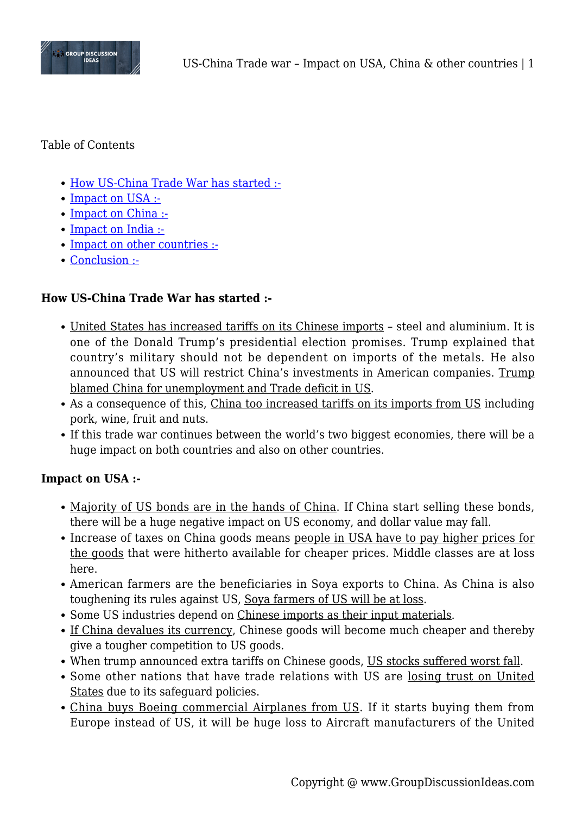

Table of Contents

- [How US-China Trade War has started :-](#page--1-0)
- [Impact on USA :-](#page--1-0)
- [Impact on China :-](#page--1-0)
- [Impact on India :-](#page--1-0)
- [Impact on other countries :-](#page--1-0)
- [Conclusion :-](#page--1-0)

#### **How US-China Trade War has started :-**

- United States has increased tariffs on its Chinese imports steel and aluminium. It is one of the Donald Trump's presidential election promises. Trump explained that country's military should not be dependent on imports of the metals. He also announced that US will restrict China's investments in American companies. Trump blamed China for unemployment and Trade deficit in US.
- As a consequence of this, China too increased tariffs on its imports from US including pork, wine, fruit and nuts.
- If this trade war continues between the world's two biggest economies, there will be a huge impact on both countries and also on other countries.

#### **Impact on USA :-**

- Majority of US bonds are in the hands of China. If China start selling these bonds, there will be a huge negative impact on US economy, and dollar value may fall.
- Increase of taxes on China goods means people in USA have to pay higher prices for the goods that were hitherto available for cheaper prices. Middle classes are at loss here.
- American farmers are the beneficiaries in Soya exports to China. As China is also toughening its rules against US, Soya farmers of US will be at loss.
- Some US industries depend on Chinese imports as their input materials.
- If China devalues its currency, Chinese goods will become much cheaper and thereby give a tougher competition to US goods.
- When trump announced extra tariffs on Chinese goods, US stocks suffered worst fall.
- Some other nations that have trade relations with US are losing trust on United States due to its safeguard policies.
- China buys Boeing commercial Airplanes from US. If it starts buying them from Europe instead of US, it will be huge loss to Aircraft manufacturers of the United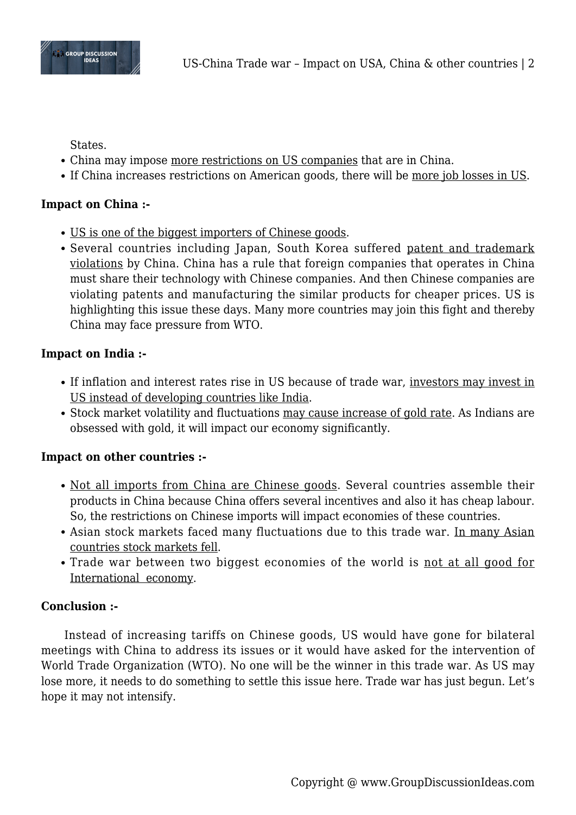

States.

- China may impose more restrictions on US companies that are in China.
- If China increases restrictions on American goods, there will be more job losses in US.

# **Impact on China :-**

- US is one of the biggest importers of Chinese goods.
- Several countries including Japan, South Korea suffered patent and trademark violations by China. China has a rule that foreign companies that operates in China must share their technology with Chinese companies. And then Chinese companies are violating patents and manufacturing the similar products for cheaper prices. US is highlighting this issue these days. Many more countries may join this fight and thereby China may face pressure from WTO.

# **Impact on India :-**

- If inflation and interest rates rise in US because of trade war, investors may invest in US instead of developing countries like India.
- Stock market volatility and fluctuations may cause increase of gold rate. As Indians are obsessed with gold, it will impact our economy significantly.

## **Impact on other countries :-**

- Not all imports from China are Chinese goods. Several countries assemble their products in China because China offers several incentives and also it has cheap labour. So, the restrictions on Chinese imports will impact economies of these countries.
- Asian stock markets faced many fluctuations due to this trade war. In many Asian countries stock markets fell.
- Trade war between two biggest economies of the world is not at all good for International economy.

## **Conclusion :-**

Instead of increasing tariffs on Chinese goods, US would have gone for bilateral meetings with China to address its issues or it would have asked for the intervention of World Trade Organization (WTO). No one will be the winner in this trade war. As US may lose more, it needs to do something to settle this issue here. Trade war has just begun. Let's hope it may not intensify.